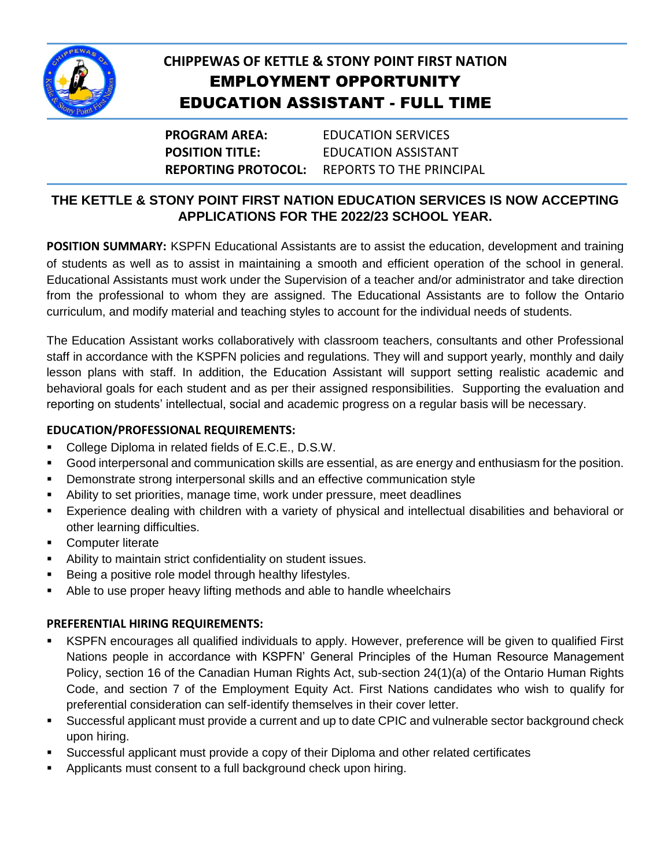

# **CHIPPEWAS OF KETTLE & STONY POINT FIRST NATION** EMPLOYMENT OPPORTUNITY EDUCATION ASSISTANT - FULL TIME

**PROGRAM AREA:** EDUCATION SERVICES **POSITION TITLE:** EDUCATION ASSISTANT **REPORTING PROTOCOL:** REPORTS TO THE PRINCIPAL

# **THE KETTLE & STONY POINT FIRST NATION EDUCATION SERVICES IS NOW ACCEPTING APPLICATIONS FOR THE 2022/23 SCHOOL YEAR.**

**POSITION SUMMARY:** KSPFN Educational Assistants are to assist the education, development and training of students as well as to assist in maintaining a smooth and efficient operation of the school in general. Educational Assistants must work under the Supervision of a teacher and/or administrator and take direction from the professional to whom they are assigned. The Educational Assistants are to follow the Ontario curriculum, and modify material and teaching styles to account for the individual needs of students.

The Education Assistant works collaboratively with classroom teachers, consultants and other Professional staff in accordance with the KSPFN policies and regulations. They will and support yearly, monthly and daily lesson plans with staff. In addition, the Education Assistant will support setting realistic academic and behavioral goals for each student and as per their assigned responsibilities. Supporting the evaluation and reporting on students' intellectual, social and academic progress on a regular basis will be necessary.

#### **EDUCATION/PROFESSIONAL REQUIREMENTS:**

- **College Diploma in related fields of E.C.E., D.S.W.**
- Good interpersonal and communication skills are essential, as are energy and enthusiasm for the position.
- Demonstrate strong interpersonal skills and an effective communication style
- Ability to set priorities, manage time, work under pressure, meet deadlines
- Experience dealing with children with a variety of physical and intellectual disabilities and behavioral or other learning difficulties.
- **Computer literate**
- Ability to maintain strict confidentiality on student issues.
- **Being a positive role model through healthy lifestyles.**
- Able to use proper heavy lifting methods and able to handle wheelchairs

#### **PREFERENTIAL HIRING REQUIREMENTS:**

- KSPFN encourages all qualified individuals to apply. However, preference will be given to qualified First Nations people in accordance with KSPFN' General Principles of the Human Resource Management Policy, section 16 of the Canadian Human Rights Act, sub-section 24(1)(a) of the Ontario Human Rights Code, and section 7 of the Employment Equity Act. First Nations candidates who wish to qualify for preferential consideration can self-identify themselves in their cover letter.
- Successful applicant must provide a current and up to date CPIC and vulnerable sector background check upon hiring.
- Successful applicant must provide a copy of their Diploma and other related certificates
- **Applicants must consent to a full background check upon hiring.**